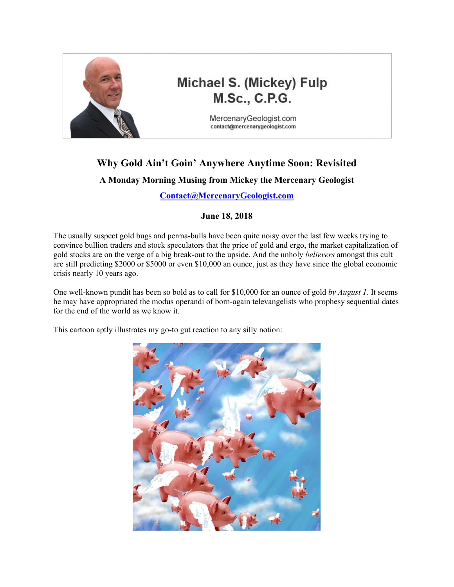

## Michael S. (Mickey) Fulp **M.Sc., C.P.G.**

MercenaryGeologist.com contact@mercenarygeologist.com

# **Why Gold Ain't Goin' Anywhere Anytime Soon: Revisited**

### **A Monday Morning Musing from Mickey the Mercenary Geologist**

**[Contact@MercenaryGeologist.com](mailto:Contact@mercenarygeologist.com)**

#### **June 18, 2018**

The usually suspect gold bugs and perma-bulls have been quite noisy over the last few weeks trying to convince bullion traders and stock speculators that the price of gold and ergo, the market capitalization of gold stocks are on the verge of a big break-out to the upside. And the unholy *believers* amongst this cult are still predicting \$2000 or \$5000 or even \$10,000 an ounce, just as they have since the global economic crisis nearly 10 years ago.

One well-known pundit has been so bold as to call for \$10,000 for an ounce of gold *by August 1*. It seems he may have appropriated the modus operandi of born-again televangelists who prophesy sequential dates for the end of the world as we know it.

This cartoon aptly illustrates my go-to gut reaction to any silly notion:

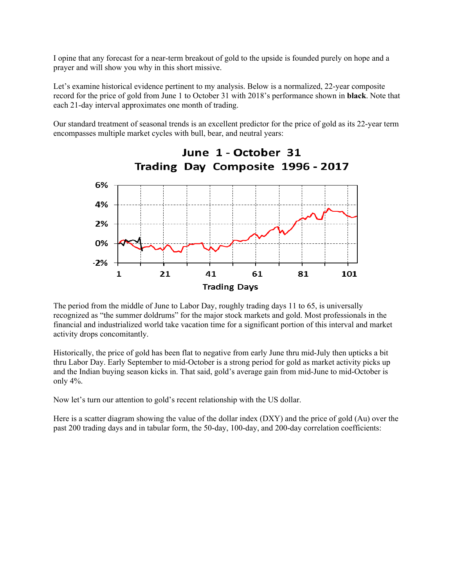I opine that any forecast for a near-term breakout of gold to the upside is founded purely on hope and a prayer and will show you why in this short missive.

Let's examine historical evidence pertinent to my analysis. Below is a normalized, 22-year composite record for the price of gold from June 1 to October 31 with 2018's performance shown in **black**. Note that each 21-day interval approximates one month of trading.

Our standard treatment of seasonal trends is an excellent predictor for the price of gold as its 22-year term encompasses multiple market cycles with bull, bear, and neutral years:



The period from the middle of June to Labor Day, roughly trading days 11 to 65, is universally recognized as "the summer doldrums" for the major stock markets and gold. Most professionals in the financial and industrialized world take vacation time for a significant portion of this interval and market activity drops concomitantly.

Historically, the price of gold has been flat to negative from early June thru mid-July then upticks a bit thru Labor Day. Early September to mid-October is a strong period for gold as market activity picks up and the Indian buying season kicks in. That said, gold's average gain from mid-June to mid-October is only 4%.

Now let's turn our attention to gold's recent relationship with the US dollar.

Here is a scatter diagram showing the value of the dollar index (DXY) and the price of gold (Au) over the past 200 trading days and in tabular form, the 50-day, 100-day, and 200-day correlation coefficients: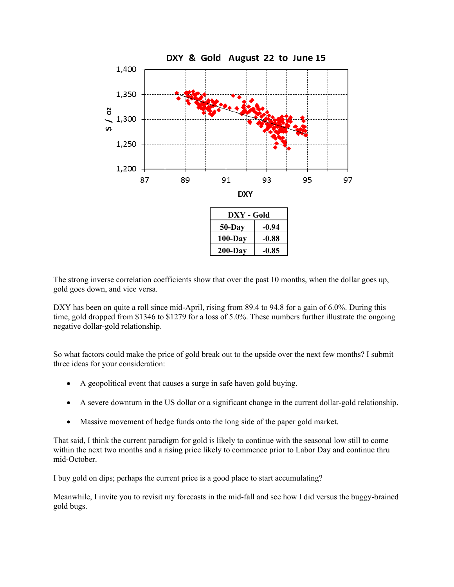

The strong inverse correlation coefficients show that over the past 10 months, when the dollar goes up, gold goes down, and vice versa.

DXY has been on quite a roll since mid-April, rising from 89.4 to 94.8 for a gain of 6.0%. During this time, gold dropped from \$1346 to \$1279 for a loss of 5.0%. These numbers further illustrate the ongoing negative dollar-gold relationship.

So what factors could make the price of gold break out to the upside over the next few months? I submit three ideas for your consideration:

- A geopolitical event that causes a surge in safe haven gold buying.
- A severe downturn in the US dollar or a significant change in the current dollar-gold relationship.
- Massive movement of hedge funds onto the long side of the paper gold market.

That said, I think the current paradigm for gold is likely to continue with the seasonal low still to come within the next two months and a rising price likely to commence prior to Labor Day and continue thru mid-October.

I buy gold on dips; perhaps the current price is a good place to start accumulating?

Meanwhile, I invite you to revisit my forecasts in the mid-fall and see how I did versus the buggy-brained gold bugs.